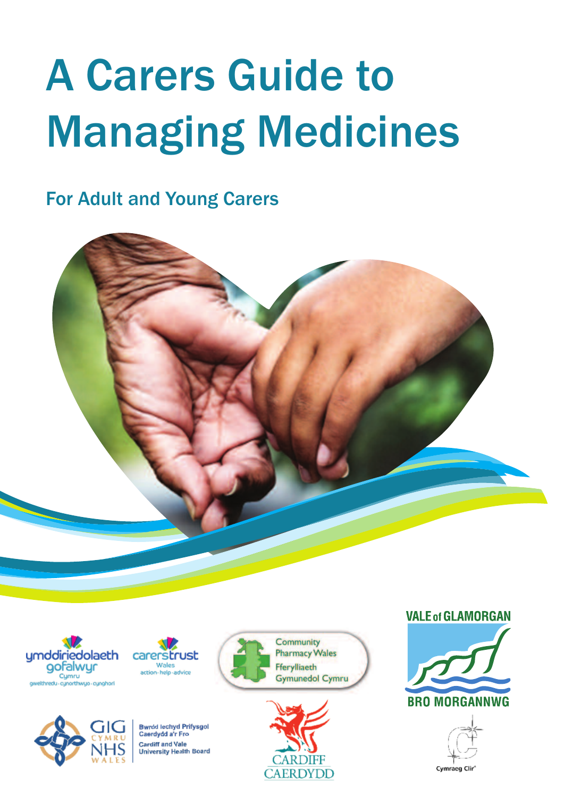# A Carers Guide to Managing Medicines

For Adult and Young Carers







**echyd Prifysgol Id a'r En** nd Vale rsity Health Board





**VALE of GLAMORGAN** 

**BRO MORGANNWG** 

Cymraeg Clin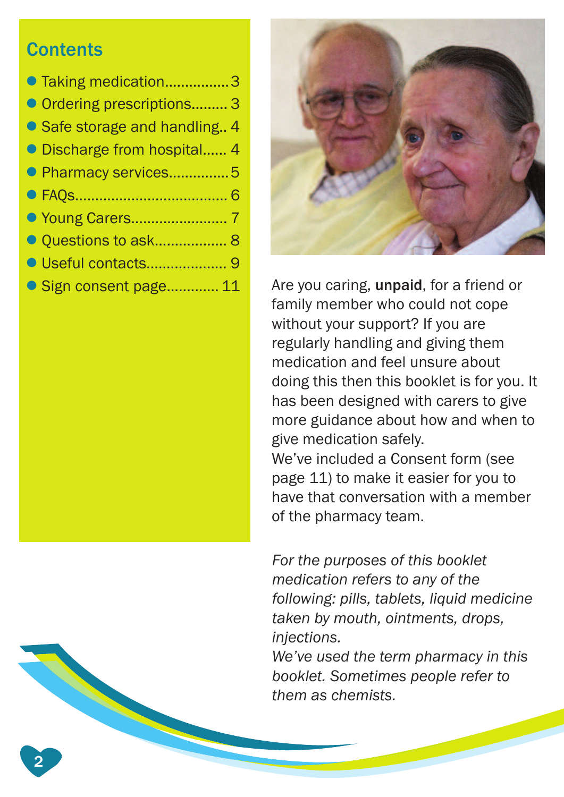#### **Contents**

2

| ● Taking medication3          |
|-------------------------------|
| Ordering prescriptions 3      |
| • Safe storage and handling 4 |
| • Discharge from hospital 4   |
| • Pharmacy services5          |
|                               |
|                               |
| Ouestions to ask 8            |
|                               |
| Sign consent page 11          |



Are you caring, unpaid, for a friend or family member who could not cope without your support? If you are regularly handling and giving them medication and feel unsure about doing this then this booklet is for you. It has been designed with carers to give more guidance about how and when to give medication safely. We've included a Consent form (see page 11) to make it easier for you to have that conversation with a member of the pharmacy team.

*For the purposes of this booklet medication refers to any of the following: pills, tablets, liquid medicine taken by mouth, ointments, drops, injections.*

*We've used the term pharmacy in this booklet. Sometimes people refer to them as chemists.*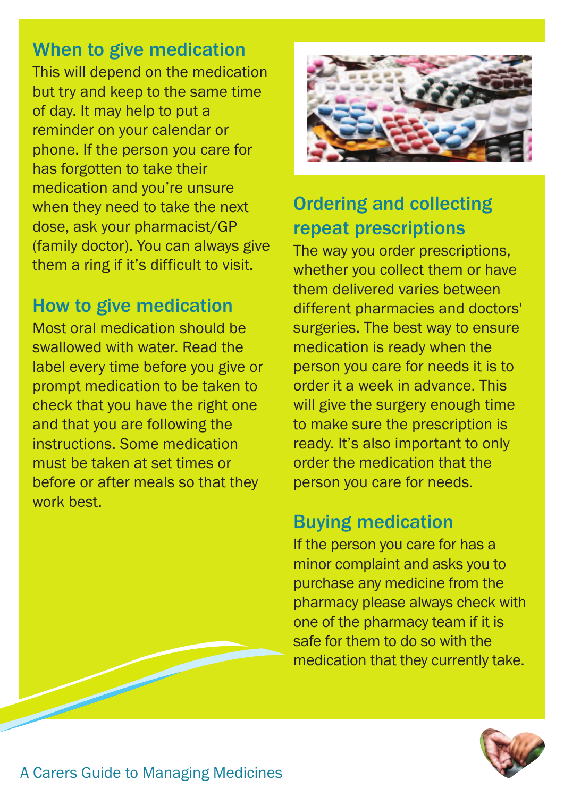#### When to give medication

This will depend on the medication but try and keep to the same time of day. It may help to put a reminder on your calendar or phone. If the person you care for has forgotten to take their medication and you're unsure when they need to take the next dose, ask your pharmacist/GP (family doctor). You can always give them a ring if it's difficult to visit.

#### How to give medication

Most oral medication should be swallowed with water. Read the label every time before you give or prompt medication to be taken to check that you have the right one and that you are following the instructions. Some medication must be taken at set times or before or after meals so that they work best.



#### Ordering and collecting repeat prescriptions

The way you order prescriptions, whether you collect them or have them delivered varies between different pharmacies and doctors' surgeries. The best way to ensure medication is ready when the person you care for needs it is to order it a week in advance. This will give the surgery enough time to make sure the prescription is ready. It's also important to only order the medication that the person you care for needs.

#### Buying medication

If the person you care for has a minor complaint and asks you to purchase any medicine from the pharmacy please always check with one of the pharmacy team if it is safe for them to do so with the medication that they currently take.

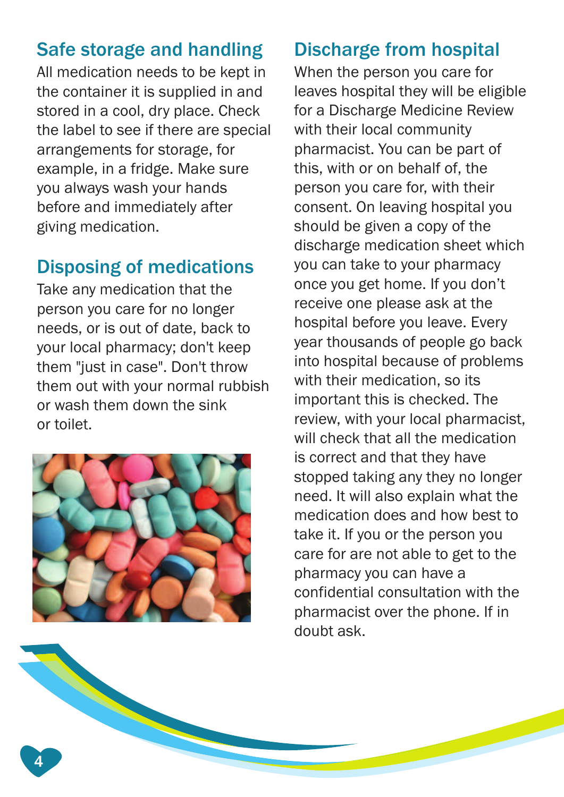#### Safe storage and handling

All medication needs to be kept in the container it is supplied in and stored in a cool, dry place. Check the label to see if there are special arrangements for storage, for example, in a fridge. Make sure you always wash your hands before and immediately after giving medication.

#### Disposing of medications

Take any medication that the person you care for no longer needs, or is out of date, back to your local pharmacy; don't keep them "just in case". Don't throw them out with your normal rubbish or wash them down the sink or toilet.



#### Discharge from hospital

When the person you care for leaves hospital they will be eligible for a Discharge Medicine Review with their local community pharmacist. You can be part of this, with or on behalf of, the person you care for, with their consent. On leaving hospital you should be given a copy of the discharge medication sheet which you can take to your pharmacy once you get home. If you don't receive one please ask at the hospital before you leave. Every year thousands of people go back into hospital because of problems with their medication, so its important this is checked. The review, with your local pharmacist, will check that all the medication is correct and that they have stopped taking any they no longer need. It will also explain what the medication does and how best to take it. If you or the person you care for are not able to get to the pharmacy you can have a confidential consultation with the pharmacist over the phone. If in doubt ask.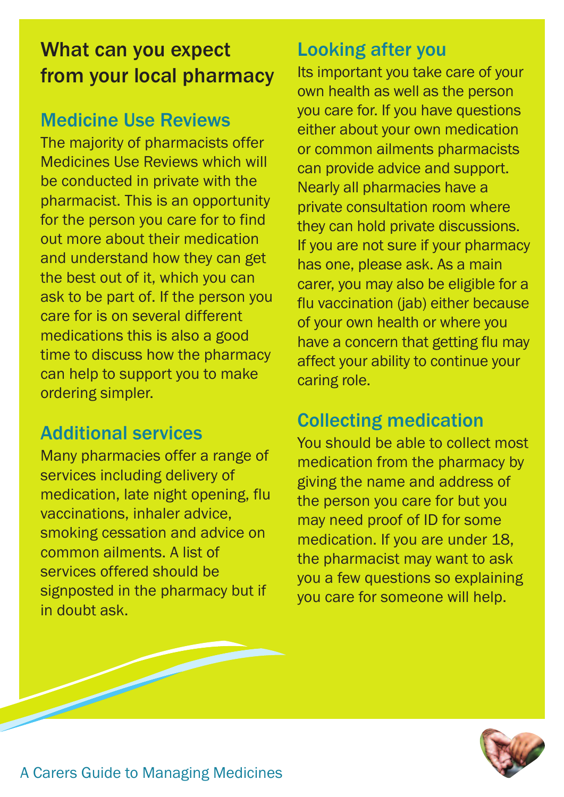# What can you expect from your local pharmacy

#### Medicine Use Reviews

The majority of pharmacists offer Medicines Use Reviews which will be conducted in private with the pharmacist. This is an opportunity for the person you care for to find out more about their medication and understand how they can get the best out of it, which you can ask to be part of. If the person you care for is on several different medications this is also a good time to discuss how the pharmacy can help to support you to make ordering simpler.

#### Additional services

Many pharmacies offer a range of services including delivery of medication, late night opening, flu vaccinations, inhaler advice, smoking cessation and advice on common ailments. A list of services offered should be signposted in the pharmacy but if in doubt ask.

#### Looking after you

Its important you take care of your own health as well as the person you care for. If you have questions either about your own medication or common ailments pharmacists can provide advice and support. Nearly all pharmacies have a private consultation room where they can hold private discussions. If you are not sure if your pharmacy has one, please ask. As a main carer, you may also be eligible for a flu vaccination (jab) either because of your own health or where you have a concern that getting flu may affect your ability to continue your caring role.

#### Collecting medication

You should be able to collect most medication from the pharmacy by giving the name and address of the person you care for but you may need proof of ID for some medication. If you are under 18, the pharmacist may want to ask you a few questions so explaining you care for someone will help.

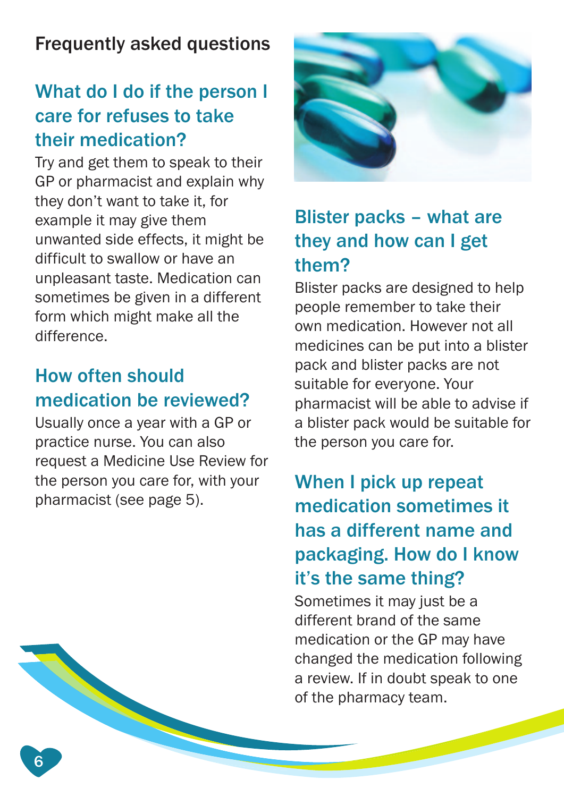# Frequently asked questions

### What do I do if the person I care for refuses to take their medication?

Try and get them to speak to their GP or pharmacist and explain why they don't want to take it, for example it may give them unwanted side effects, it might be difficult to swallow or have an unpleasant taste. Medication can sometimes be given in a different form which might make all the difference.

#### How often should medication be reviewed?

Usually once a year with a GP or practice nurse. You can also request a Medicine Use Review for the person you care for, with your pharmacist (see page 5).

6



#### Blister packs – what are they and how can I get them?

Blister packs are designed to help people remember to take their own medication. However not all medicines can be put into a blister pack and blister packs are not suitable for everyone. Your pharmacist will be able to advise if a blister pack would be suitable for the person you care for.

# When I pick up repeat medication sometimes it has a different name and packaging. How do I know it's the same thing?

Sometimes it may just be a different brand of the same medication or the GP may have changed the medication following a review. If in doubt speak to one of the pharmacy team.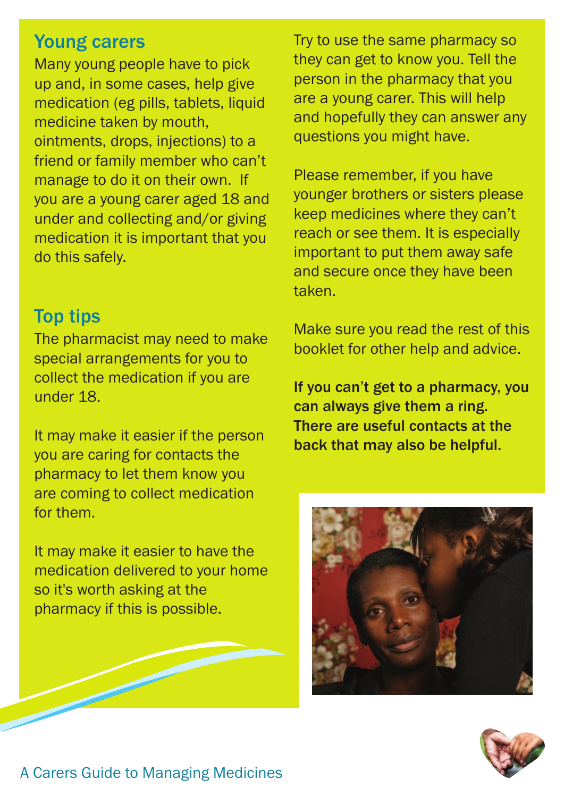#### Young carers

Many young people have to pick up and, in some cases, help give medication (eg pills, tablets, liquid medicine taken by mouth, ointments, drops, injections) to a friend or family member who can't manage to do it on their own. If you are a young carer aged 18 and under and collecting and/or giving medication it is important that you do this safely.

#### Top tips

The pharmacist may need to make special arrangements for you to collect the medication if you are under 18.

It may make it easier if the person you are caring for contacts the pharmacy to let them know you are coming to collect medication for them.

It may make it easier to have the medication delivered to your home so it's worth asking at the pharmacy if this is possible.

Try to use the same pharmacy so they can get to know you. Tell the person in the pharmacy that you are a young carer. This will help and hopefully they can answer any questions you might have.

Please remember, if you have younger brothers or sisters please keep medicines where they can't reach or see them. It is especially important to put them away safe and secure once they have been taken.

Make sure you read the rest of this booklet for other help and advice.

If you can't get to a pharmacy, you can always give them a ring. There are useful contacts at the back that may also be helpful.



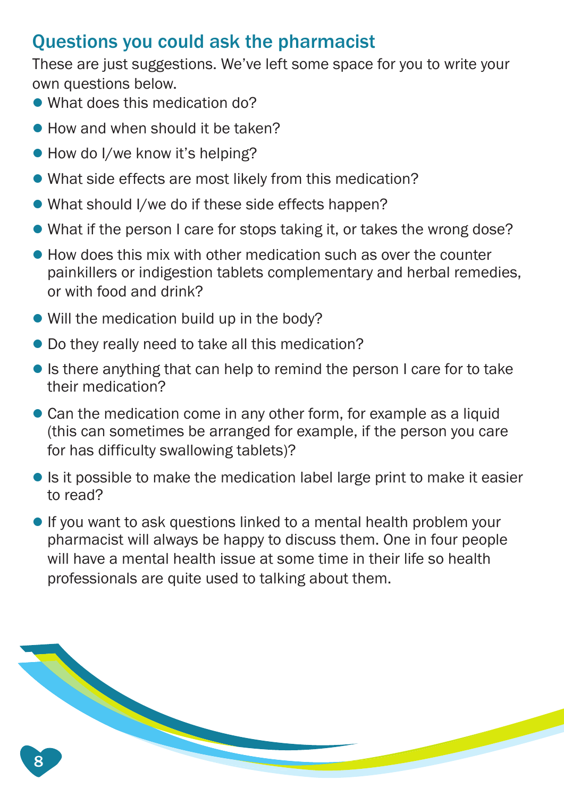#### Questions you could ask the pharmacist

These are just suggestions. We've left some space for you to write your own questions below.

- What does this medication do?
- How and when should it be taken?
- How do I/we know it's helping?
- l What side effects are most likely from this medication?
- What should I/we do if these side effects happen?
- What if the person I care for stops taking it, or takes the wrong dose?
- $\bullet$  How does this mix with other medication such as over the counter painkillers or indigestion tablets complementary and herbal remedies, or with food and drink?
- $\bullet$  Will the medication build up in the body?
- $\bullet$  Do they really need to take all this medication?
- **In It is there anything that can help to remind the person I care for to take** their medication?
- Can the medication come in any other form, for example as a liquid (this can sometimes be arranged for example, if the person you care for has difficulty swallowing tablets)?
- $\bullet$  Is it possible to make the medication label large print to make it easier to read?
- $\bullet$  If you want to ask questions linked to a mental health problem your pharmacist will always be happy to discuss them. One in four people will have a mental health issue at some time in their life so health professionals are quite used to talking about them.

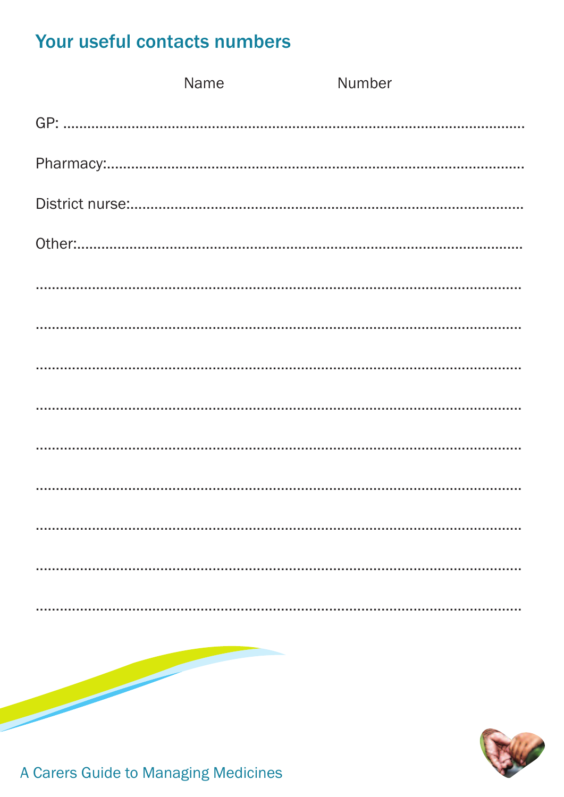#### Your useful contacts numbers

|  | Name | Number |
|--|------|--------|
|  |      |        |
|  |      |        |
|  |      |        |
|  |      |        |
|  |      |        |
|  |      |        |
|  |      |        |
|  |      |        |
|  |      |        |
|  |      |        |
|  |      |        |
|  |      |        |
|  |      |        |
|  |      |        |
|  |      |        |



A Carers Guide to Managing Medicines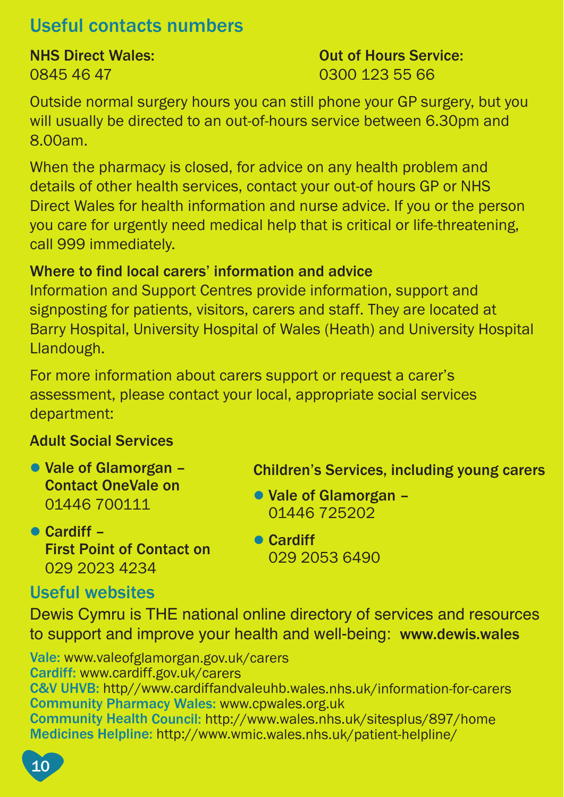#### Useful contacts numbers

# 0845 46 47 0300 123 55 66

**NHS Direct Wales: NHS Direct Wales: Out of Hours Service:** 

Outside normal surgery hours you can still phone your GP surgery, but you will usually be directed to an out-of-hours service between 6.30pm and 8.00am.

When the pharmacy is closed, for advice on any health problem and details of other health services, contact your out-of hours GP or NHS Direct Wales for health information and nurse advice. If you or the person you care for urgently need medical help that is critical or life-threatening, call 999 immediately.

#### Where to find local carers' information and advice

Information and Support Centres provide information, support and signposting for patients, visitors, carers and staff. They are located at Barry Hospital, University Hospital of Wales (Heath) and University Hospital Llandough.

For more information about carers support or request a carer's assessment, please contact your local, appropriate social services department:

#### Adult Social Services

- Vale of Glamorgan Contact OneVale on 01446 700111
- Children's Services, including young carers
- Vale of Glamorgan 01446 725202
- $\bullet$  Cardiff First Point of Contact on 029 2023 4234
- **Cardiff** 029 2053 6490

#### Useful websites

Dewis Cymru is THE national online directory of services and resources to support and improve your health and well-being: www.dewis.wales

Vale: www.valeofglamorgan.gov.uk/carers Cardiff: www.cardiff.gov.uk/carers C&V UHVB: http//www.cardiffandvaleuhb.wales.nhs.uk/information-for-carers Community Pharmacy Wales: www.cpwales.org.uk Community Health Council: http://www.wales.nhs.uk/sitesplus/897/home Medicines Helpline: http://www.wmic.wales.nhs.uk/patient-helpline/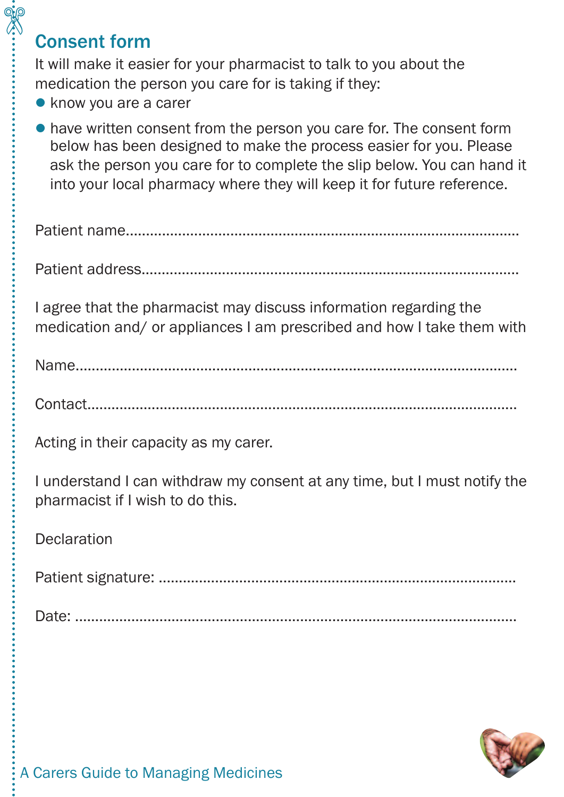#### Consent form

\$

It will make it easier for your pharmacist to talk to you about the medication the person you care for is taking if they:

- know you are a carer
- l have written consent from the person you care for. The consent form below has been designed to make the process easier for you. Please ask the person you care for to complete the slip below. You can hand it into your local pharmacy where they will keep it for future reference.

Patient address..............................................................................................

I agree that the pharmacist may discuss information regarding the medication and/ or appliances I am prescribed and how I take them with

Name..............................................................................................................

Contact...........................................................................................................

Acting in their capacity as my carer.

I understand I can withdraw my consent at any time, but I must notify the pharmacist if I wish to do this.

Declaration

Patient signature: .........................................................................................

Date: ..............................................................................................................